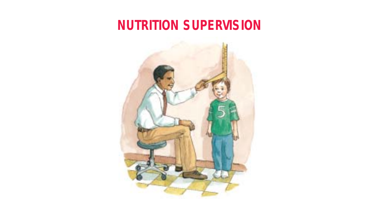# **NUTRITION SUPERVISION**

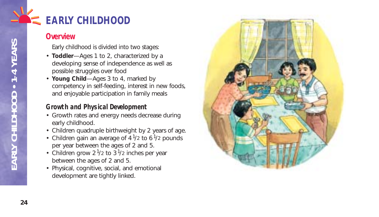

## **Overview**

Early childhood is divided into two stages:

- **Toddler**—Ages 1 to 2, characterized by a developing sense of independence as well as possible struggles over food
- **Young Child**—Ages 3 to 4, marked by competency in self-feeding, interest in new foods, and enjoyable participation in family meals

## **Growth and Physical Development**

- Growth rates and energy needs decrease during early childhood.
- Children quadruple birthweight by 2 years of age.
- Children gain an average of  $4\frac{1}{2}$  to 6 $\frac{1}{2}$  pounds per year between the ages of 2 and 5.
- Children grow 2 $\frac{1}{2}$  to 3 $\frac{1}{2}$  inches per year between the ages of 2 and 5.
- Physical, cognitive, social, and emotional development are tightly linked.

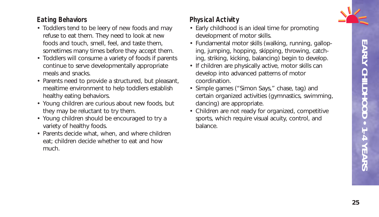

## **Eating Behaviors**

- Toddlers tend to be leery of new foods and may refuse to eat them. They need to look at new foods and touch, smell, feel, and taste them, sometimes many times before they accept them.
- Toddlers will consume a variety of foods if parents continue to serve developmentally appropriate meals and snacks.
- Parents need to provide a structured, but pleasant, mealtime environment to help toddlers establish healthy eating behaviors.
- Young children are curious about new foods, but they may be reluctant to try them.
- Young children should be encouraged to try a variety of healthy foods.
- Parents decide what, when, and where children eat; children decide whether to eat and how much.

## **Physical Activity**

- Early childhood is an ideal time for promoting development of motor skills.
- Fundamental motor skills (walking, running, galloping, jumping, hopping, skipping, throwing, catching, striking, kicking, balancing) begin to develop.
- If children are physically active, motor skills can develop into advanced patterns of motor coordination.
- Simple games ("Simon Says," chase, tag) and certain organized activities (gymnastics, swimming, dancing) are appropriate.
- Children are not ready for organized, competitive sports, which require visual acuity, control, and balance.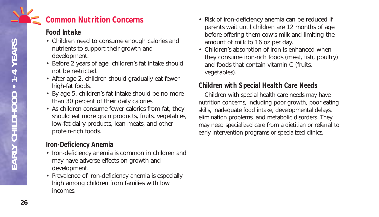## **Common Nutrition Concerns**

## **Food Intake**

- Children need to consume enough calories and nutrients to support their growth and development.
- Before 2 years of age, children's fat intake should not be restricted.
- After age 2, children should gradually eat fewer high-fat foods.
- By age 5, children's fat intake should be no more than 30 percent of their daily calories.
- As children consume fewer calories from fat, they should eat more grain products, fruits, vegetables, low-fat dairy products, lean meats, and other protein-rich foods.

## **Iron-Deficiency Anemia**

- Iron-deficiency anemia is common in children and may have adverse effects on growth and development.
- Prevalence of iron-deficiency anemia is especially high among children from families with low incomes.
- Risk of iron-deficiency anemia can be reduced if parents wait until children are 12 months of age before offering them cow's milk and limiting the amount of milk to 16 oz per day.
- Children's absorption of iron is enhanced when they consume iron-rich foods (meat, fish, poultry) and foods that contain vitamin C (fruits, vegetables).

## **Children with Special Health Care Needs**

Children with special health care needs may have nutrition concerns, including poor growth, poor eating skills, inadequate food intake, developmental delays, elimination problems, and metabolic disorders. They may need specialized care from a dietitian or referral to early intervention programs or specialized clinics.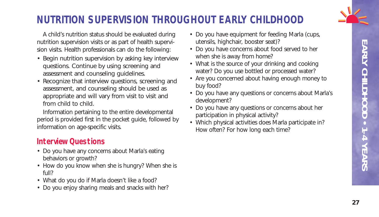

# **NUTRITION SUPERVISION THROUGHOUT EARLY CHILDHOOD**

A child's nutrition status should be evaluated during nutrition supervision visits or as part of health supervision visits. Health professionals can do the following:

- Begin nutrition supervision by asking key interview questions. Continue by using screening and assessment and counseling guidelines.
- Recognize that interview questions, screening and assessment, and counseling should be used as appropriate and will vary from visit to visit and from child to child.

Information pertaining to the entire developmental period is provided first in the pocket guide, followed by information on age-specific visits.

## **Interview Questions**

- Do you have any concerns about Marla's eating behaviors or growth?
- How do you know when she is hungry? When she is full?
- What do you do if Marla doesn't like a food?
- Do you enjoy sharing meals and snacks with her?
- Do you have equipment for feeding Marla (cups, utensils, highchair, booster seat)?
- Do you have concerns about food served to her when she is away from home?
- What is the source of your drinking and cooking water? Do you use bottled or processed water?
- Are you concerned about having enough money to buy food?
- Do you have any questions or concerns about Marla's development?
- Do you have any questions or concerns about her participation in physical activity?
- Which physical activities does Marla participate in? How often? For how long each time?

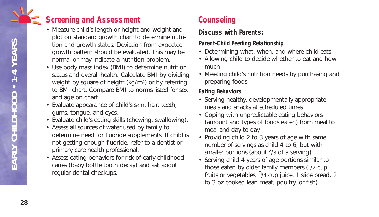## **Screening and Assessment**

- Measure child's length or height and weight and plot on standard growth chart to determine nutrition and growth status. Deviation from expected growth pattern should be evaluated. This may be normal or may indicate a nutrition problem.
- Use body mass index (BMI) to determine nutrition status and overall health. Calculate BMI by dividing weight by square of height (kg/m2) or by referring to BMI chart. Compare BMI to norms listed for sex and age on chart.
- Evaluate appearance of child's skin, hair, teeth, gums, tongue, and eyes.
- Evaluate child's eating skills (chewing, swallowing).
- Assess all sources of water used by family to determine need for fluoride supplements. If child is not getting enough fluoride, refer to a dentist or primary care health professional.
- Assess eating behaviors for risk of early childhood caries (baby bottle tooth decay) and ask about regular dental checkups.

# **Counseling**

## **Discuss with Parents:**

#### *Parent-Child Feeding Relationship*

- Determining what, when, and where child eats
- Allowing child to decide whether to eat and how much
- Meeting child's nutrition needs by purchasing and preparing foods

#### *Eating Behaviors*

- Serving healthy, developmentally appropriate meals and snacks at scheduled times
- Coping with unpredictable eating behaviors (amount and types of foods eaten) from meal to meal and day to day
- Providing child 2 to 3 years of age with same number of servings as child 4 to 6, but with smaller portions (about  $2/3$  of a serving)
- Serving child 4 years of age portions similar to those eaten by older family members  $(1/2$  cup fruits or vegetables,  $3/4$  cup juice, 1 slice bread, 2 to 3 oz cooked lean meat, poultry, or fish)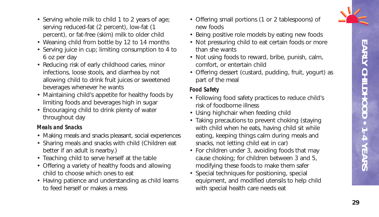

- Serving whole milk to child 1 to 2 years of age; serving reduced-fat (2 percent), low-fat (1 percent), or fat-free (skim) milk to older child
- Weaning child from bottle by 12 to 14 months
- Serving juice in cup; limiting consumption to 4 to 6 oz per day
- Reducing risk of early childhood caries, minor infections, loose stools, and diarrhea by not allowing child to drink fruit juices or sweetened beverages whenever he wants
- Maintaining child's appetite for healthy foods by limiting foods and beverages high in sugar
- Encouraging child to drink plenty of water throughout day

#### *Meals and Snacks*

- Making meals and snacks pleasant, social experiences
- Sharing meals and snacks with child (Children eat better if an adult is nearby.)
- Teaching child to serve herself at the table
- Offering a variety of healthy foods and allowing child to choose which ones to eat
- Having patience and understanding as child learns to feed herself or makes a mess
- Offering small portions (1 or 2 tablespoons) of new foods
- Being positive role models by eating new foods
- Not pressuring child to eat certain foods or more than she wants
- Not using foods to reward, bribe, punish, calm, comfort, or entertain child
- Offering dessert (custard, pudding, fruit, yogurt) as part of the meal

#### *Food Safety*

- Following food safety practices to reduce child's risk of foodborne illness
- Using highchair when feeding child
- Taking precautions to prevent choking (staying with child when he eats, having child sit while eating, keeping things calm during meals and snacks, not letting child eat in car)
- For children under 3, avoiding foods that may cause choking; for children between 3 and 5, modifying these foods to make them safer
- Special techniques for positioning, special equipment, and modified utensils to help child with special health care needs eat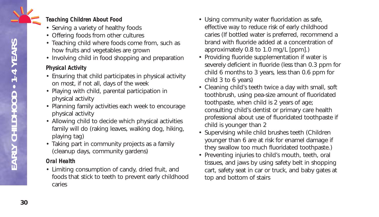

- Serving a variety of healthy foods
- Offering foods from other cultures
- Teaching child where foods come from, such as how fruits and vegetables are grown
- Involving child in food shopping and preparation

#### *Physical Activity*

- Ensuring that child participates in physical activity on most, if not all, days of the week
- Playing with child, parental participation in physical activity
- Planning family activities each week to encourage physical activity
- Allowing child to decide which physical activities family will do (raking leaves, walking dog, hiking, playing tag)
- Taking part in community projects as a family (cleanup days, community gardens)

#### *Oral Health*

• Limiting consumption of candy, dried fruit, and foods that stick to teeth to prevent early childhood caries

- Using community water fluoridation as safe, effective way to reduce risk of early childhood caries (If bottled water is preferred, recommend a brand with fluoride added at a concentration of approximately 0.8 to 1.0 mg/L [ppm].)
- Providing fluoride supplementation if water is severely deficient in fluoride (less than 0.3 ppm for child 6 months to 3 years, less than 0.6 ppm for child 3 to 6 years)
- Cleaning child's teeth twice a day with small, soft toothbrush, using pea-size amount of fluoridated toothpaste, when child is 2 years of age; consulting child's dentist or primary care health professional about use of fluoridated toothpaste if child is younger than 2
- Supervising while child brushes teeth (Children younger than 6 are at risk for enamel damage if they swallow too much fluoridated toothpaste.)
- Preventing injuries to child's mouth, teeth, oral tissues, and jaws by using safety belt in shopping cart, safety seat in car or truck, and baby gates at top and bottom of stairs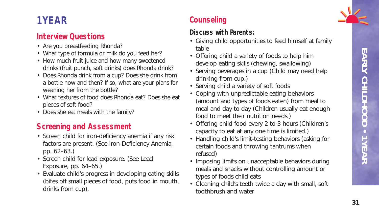# EARLY CHILDHOOD • 1 YEAR **EARLY CHILDHOOD • 1 YEAR**

# **1 YEAR**

# **Interview Questions**

- Are you breastfeeding Rhonda?
- What type of formula or milk do you feed her?
- How much fruit juice and how many sweetened drinks (fruit punch, soft drinks) does Rhonda drink?
- Does Rhonda drink from a cup? Does she drink from a bottle now and then? If so, what are your plans for weaning her from the bottle?
- What textures of food does Rhonda eat? Does she eat pieces of soft food?
- Does she eat meals with the family?

# **Screening and Assessment**

- Screen child for iron-deficiency anemia if any risk factors are present. (See Iron-Deficiency Anemia, pp. 62–63.)
- Screen child for lead exposure. (See Lead Exposure, pp. 64–65.)
- Evaluate child's progress in developing eating skills (bites off small pieces of food, puts food in mouth, drinks from cup).

# **Counseling**

- Giving child opportunities to feed himself at family table
- Offering child a variety of foods to help him develop eating skills (chewing, swallowing)
- Serving beverages in a cup (Child may need help drinking from cup.)
- Serving child a variety of soft foods
- Coping with unpredictable eating behaviors (amount and types of foods eaten) from meal to meal and day to day (Children usually eat enough food to meet their nutrition needs.)
- Offering child food every 2 to 3 hours (Children's capacity to eat at any one time is limited.)
- Handling child's limit-testing behaviors (asking for certain foods and throwing tantrums when refused)
- Imposing limits on unacceptable behaviors during meals and snacks without controlling amount or types of foods child eats
- Cleaning child's teeth twice a day with small, soft toothbrush and water

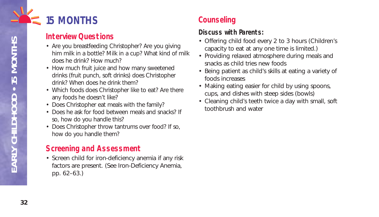

## **Interview Questions**

- Are you breastfeeding Christopher? Are you giving him milk in a bottle? Milk in a cup? What kind of milk does he drink? How much?
- How much fruit juice and how many sweetened drinks (fruit punch, soft drinks) does Christopher drink? When does he drink them?
- Which foods does Christopher like to eat? Are there any foods he doesn't like?
- Does Christopher eat meals with the family?
- Does he ask for food between meals and snacks? If so, how do you handle this?
- Does Christopher throw tantrums over food? If so, how do you handle them?

## **Screening and Assessment**

• Screen child for iron-deficiency anemia if any risk factors are present. (See Iron-Deficiency Anemia, pp. 62–63.)

# **Counseling**

- Offering child food every 2 to 3 hours (Children's capacity to eat at any one time is limited.)
- Providing relaxed atmosphere during meals and snacks as child tries new foods
- Being patient as child's skills at eating a variety of foods increases
- Making eating easier for child by using spoons, cups, and dishes with steep sides (bowls)
- Cleaning child's teeth twice a day with small, soft toothbrush and water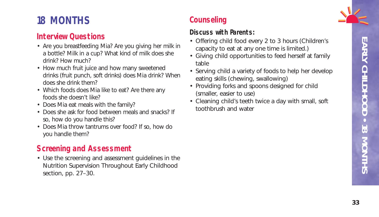# **18 MONTHS**

## **Interview Questions**

- Are you breastfeeding Mia? Are you giving her milk in a bottle? Milk in a cup? What kind of milk does she drink? How much?
- How much fruit juice and how many sweetened drinks (fruit punch, soft drinks) does Mia drink? When does she drink them?
- Which foods does Mia like to eat? Are there any foods she doesn't like?
- Does Mia eat meals with the family?
- Does she ask for food between meals and snacks? If so, how do you handle this?
- Does Mia throw tantrums over food? If so, how do you handle them?

# **Screening and Assessment**

• Use the screening and assessment guidelines in the Nutrition Supervision Throughout Early Childhood section, pp. 27–30.

# **Counseling**

- Offering child food every 2 to 3 hours (Children's capacity to eat at any one time is limited.)
- Giving child opportunities to feed herself at family table
- Serving child a variety of foods to help her develop eating skills (chewing, swallowing)
- Providing forks and spoons designed for child (smaller, easier to use)
- Cleaning child's teeth twice a day with small, soft toothbrush and water

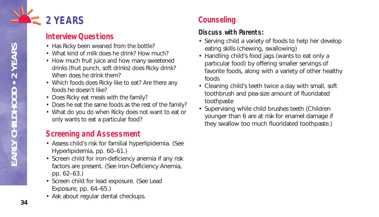

## **Interview Questions**

- Has Ricky been weaned from the bottle?
- What kind of milk does he drink? How much?
- How much fruit juice and how many sweetened drinks (fruit punch, soft drinks) does Ricky drink? When does he drink them?
- Which foods does Ricky like to eat? Are there any foods he doesn't like?
- Does Ricky eat meals with the family?
- Does he eat the same foods as the rest of the family?
- What do you do when Ricky does not want to eat or only wants to eat a particular food?

## **Screening and Assessment**

- Assess child's risk for familial hyperlipidemia. (See Hyperlipidemia, pp. 60–61.)
- Screen child for iron-deficiency anemia if any risk factors are present. (See Iron-Deficiency Anemia, pp. 62–63.)
- Screen child for lead exposure. (See Lead Exposure, pp. 64–65.)
- Ask about regular dental checkups.

# **Counseling**

- Serving child a variety of foods to help her develop eating skills (chewing, swallowing)
- Handling child's food jags (wants to eat only a particular food) by offering smaller servings of favorite foods, along with a variety of other healthy foods
- Cleaning child's teeth twice a day with small, soft toothbrush and pea-size amount of fluoridated toothpaste
- Supervising while child brushes teeth (Children younger than 6 are at risk for enamel damage if they swallow too much fluoridated toothpaste.)